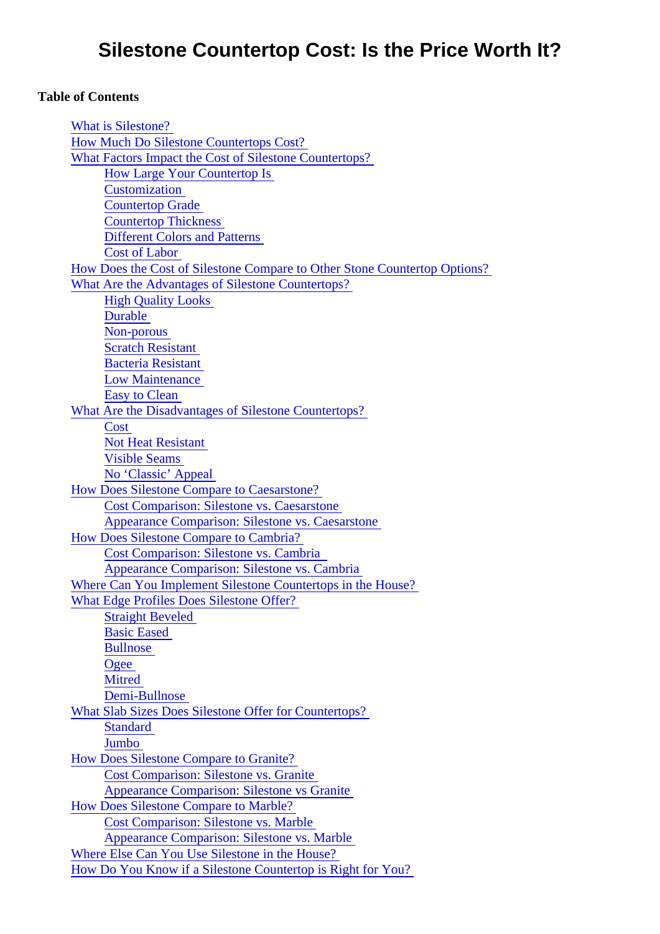#### Table of Contents

| <b>What is Silestone?</b>                                                       |
|---------------------------------------------------------------------------------|
| <b>How Much Do Silestone Countertops Cost?</b>                                  |
| What Factors Impact the Cost of Silestone Countertops?                          |
| <b>How Large Your Countertop Is</b>                                             |
| <b>Customization</b>                                                            |
| <b>Countertop Grade</b>                                                         |
| <b>Countertop Thickness</b>                                                     |
| <b>Different Colors and Patterns</b>                                            |
| <b>Cost of Labor</b>                                                            |
| How Does the Cost of Silestone Compare to Other Stone Countertop Options?       |
| What Are the Advantages of Silestone Countertops?                               |
| <b>High Quality Looks</b>                                                       |
| <b>Durable</b>                                                                  |
| Non-porous                                                                      |
| <b>Scratch Resistant</b>                                                        |
| <b>Bacteria Resistant</b>                                                       |
| <b>Low Maintenance</b>                                                          |
| <b>Easy to Clean</b>                                                            |
| What Are the Disadvantages of Silestone Countertops?                            |
| Cost                                                                            |
| <b>Not Heat Resistant</b>                                                       |
| <b>Visible Seams</b>                                                            |
| No 'Classic' Appeal                                                             |
| How Does Silestone Compare to Caesarstone?                                      |
| <b>Cost Comparison: Silestone vs. Caesarstone</b>                               |
| Appearance Comparison: Silestone vs. Caesarstone                                |
| How Does Silestone Compare to Cambria?                                          |
| Cost Comparison: Silestone vs. Cambria                                          |
| Appearance Comparison: Silestone vs. Cambria                                    |
| Where Can You Implement Silestone Countertops in the House?                     |
| <b>What Edge Profiles Does Silestone Offer?</b>                                 |
|                                                                                 |
| <b>Straight Beveled</b><br><b>Basic Eased</b>                                   |
| <b>Bullnose</b>                                                                 |
|                                                                                 |
| Ogee<br><b>Mitred</b>                                                           |
| Demi-Bullnose                                                                   |
|                                                                                 |
| <b>What Slab Sizes Does Silestone Offer for Countertops?</b><br><b>Standard</b> |
| Jumbo                                                                           |
|                                                                                 |
| <b>How Does Silestone Compare to Granite?</b>                                   |
| <b>Cost Comparison: Silestone vs. Granite</b>                                   |
| <b>Appearance Comparison: Silestone vs Granite</b>                              |
| <b>How Does Silestone Compare to Marble?</b>                                    |
| <b>Cost Comparison: Silestone vs. Marble</b>                                    |
| Appearance Comparison: Silestone vs. Marble                                     |
| Where Else Can You Use Silestone in the House?                                  |
| How Do You Know if a Silestone Countertop is Right for You?                     |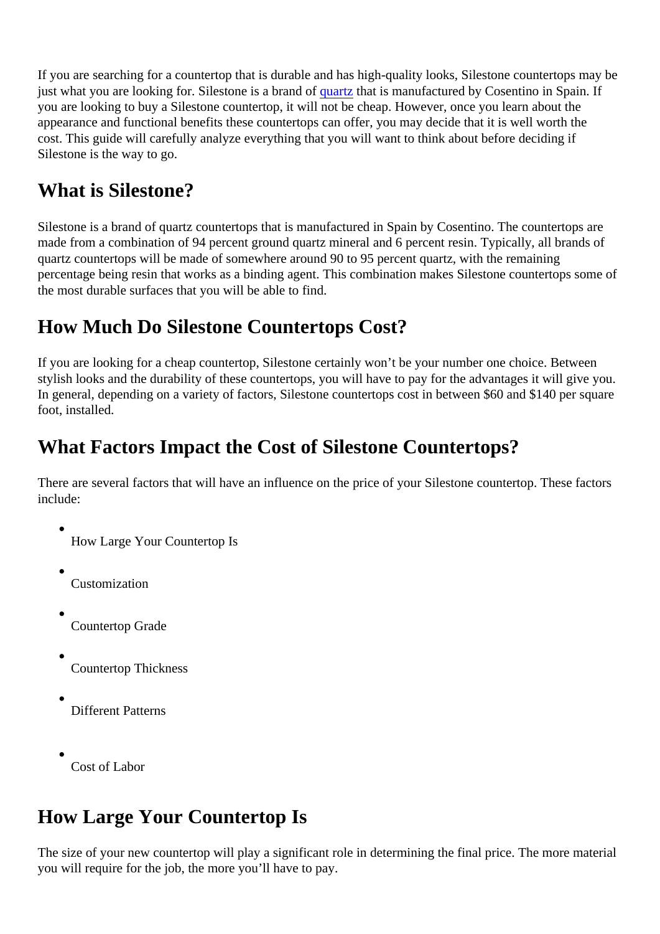<span id="page-1-0"></span>If you are searching for a countertop that is durable and has high-quality looks, Silestone countertops may just what you are looking for. Silestone is a brand of triation is manufactured by Cosentino in Spain. If you are looking to buy a Silestone countertop, it will not be cheap. However, once you learn about the appearance and functional benefits these countertops can offer, you may decide that it is well worth the cost. This guide will carefully analyze everything that you will want to think about before deciding if Silestone is the way to go.

## What is Silestone?

Silestone is a brand of quartz countertops that is manufactured in Spain by Cosentino. The countertops are made from a combination of 94 percent ground quartz mineral and 6 percent resin. Typically, all brands of quartz countertops will be made of somewhere around 90 to 95 percent quartz, with the remaining percentage being resin that works as a binding agent. This combination makes Silestone countertops some the most durable surfaces that you will be able to find.

## How Much Do Silestone Countertops Cost?

If you are looking for a cheap countertop, Silestone certainly won't be your number one choice. Between stylish looks and the durability of these countertops, you will have to pay for the advantages it will give you. In general, depending on a variety of factors, Silestone countertops cost in between \$60 and \$140 per square foot, installed.

## What Factors Impact the Cost of Silestone Countertops?

There are several factors that will have an influence on the price of your Silestone countertop. These factors include:

- How Large Your Countertop Is
- Customization
- Countertop Grade
- Countertop Thickness
- Different Patterns
- Cost of Labor

## How Large Your Countertop Is

The size of your new countertop will play a significant role in determining the final price. The more materia you will require for the job, the more you'll have to pay.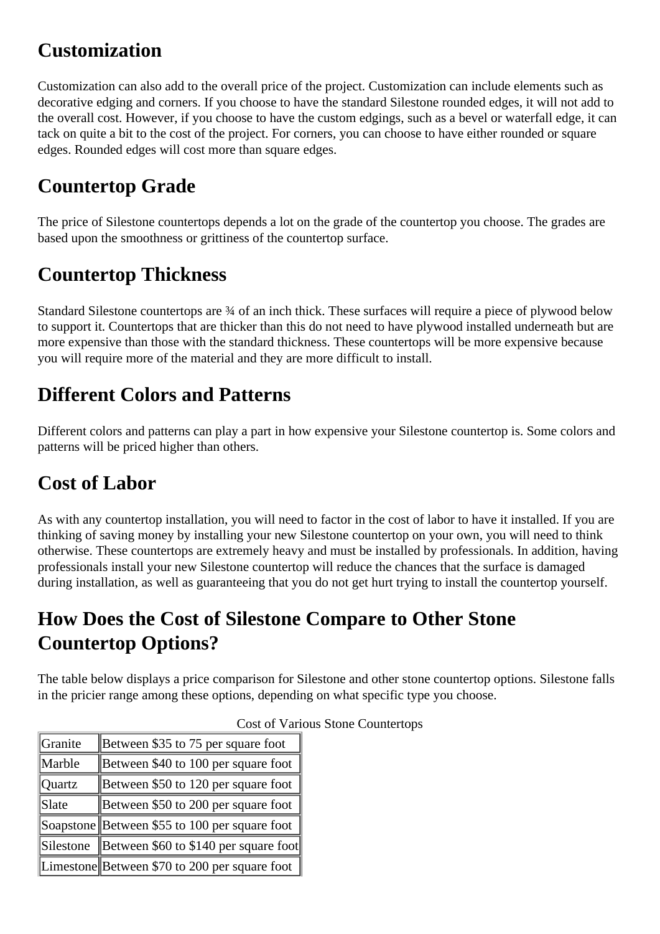## **Customization**

Customization can also add to the overall price of the project. Customization can include elements such as decorative edging and corners. If you choose to have the standard Silestone rounded edges, it will not add to the overall cost. However, if you choose to have the custom edgings, such as a bevel or waterfall edge, it can tack on quite a bit to the cost of the project. For corners, you can choose to have either rounded or square edges. Rounded edges will cost more than square edges.

## **Countertop Grade**

The price of Silestone countertops depends a lot on the grade of the countertop you choose. The grades are based upon the smoothness or grittiness of the countertop surface.

## **Countertop Thickness**

Standard Silestone countertops are  $\frac{3}{4}$  of an inch thick. These surfaces will require a piece of plywood below to support it. Countertops that are thicker than this do not need to have plywood installed underneath but are more expensive than those with the standard thickness. These countertops will be more expensive because you will require more of the material and they are more difficult to install.

#### **Different Colors and Patterns**

Different colors and patterns can play a part in how expensive your Silestone countertop is. Some colors and patterns will be priced higher than others.

## **Cost of Labor**

As with any countertop installation, you will need to factor in the cost of labor to have it installed. If you are thinking of saving money by installing your new Silestone countertop on your own, you will need to think otherwise. These countertops are extremely heavy and must be installed by professionals. In addition, having professionals install your new Silestone countertop will reduce the chances that the surface is damaged during installation, as well as guaranteeing that you do not get hurt trying to install the countertop yourself.

## **How Does the Cost of Silestone Compare to Other Stone Countertop Options?**

The table below displays a price comparison for Silestone and other stone countertop options. Silestone falls in the pricier range among these options, depending on what specific type you choose.

| Granite   | Between \$35 to 75 per square foot              |
|-----------|-------------------------------------------------|
| Marble    | Between \$40 to 100 per square foot $\parallel$ |
| Quartz    | Between \$50 to 120 per square foot             |
| Slate     | Between \$50 to 200 per square foot             |
|           | Soapstone Between \$55 to 100 per square foot   |
| Silestone | Between \$60 to \$140 per square foot           |
|           | Limestone Between \$70 to 200 per square foot   |

#### Cost of Various Stone Countertops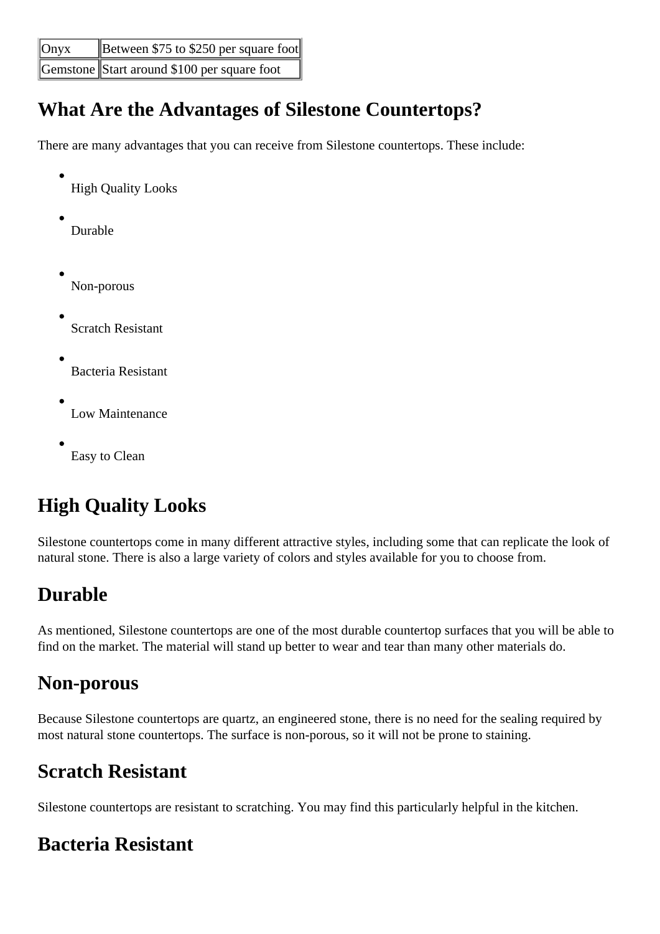<span id="page-3-0"></span>

| $\sqrt{\text{Onyx}}$ | Between \$75 to \$250 per square foot       |
|----------------------|---------------------------------------------|
|                      | Gemstone Start around \$100 per square foot |

#### **What Are the Advantages of Silestone Countertops?**

There are many advantages that you can receive from Silestone countertops. These include:

- High Quality Looks
- Durable
- Non-porous
- Scratch Resistant
- Bacteria Resistant
- Low Maintenance
- Easy to Clean

# **High Quality Looks**

Silestone countertops come in many different attractive styles, including some that can replicate the look of natural stone. There is also a large variety of colors and styles available for you to choose from.

## **Durable**

As mentioned, Silestone countertops are one of the most durable countertop surfaces that you will be able to find on the market. The material will stand up better to wear and tear than many other materials do.

## **Non-porous**

Because Silestone countertops are quartz, an engineered stone, there is no need for the sealing required by most natural stone countertops. The surface is non-porous, so it will not be prone to staining.

## **Scratch Resistant**

Silestone countertops are resistant to scratching. You may find this particularly helpful in the kitchen.

## **Bacteria Resistant**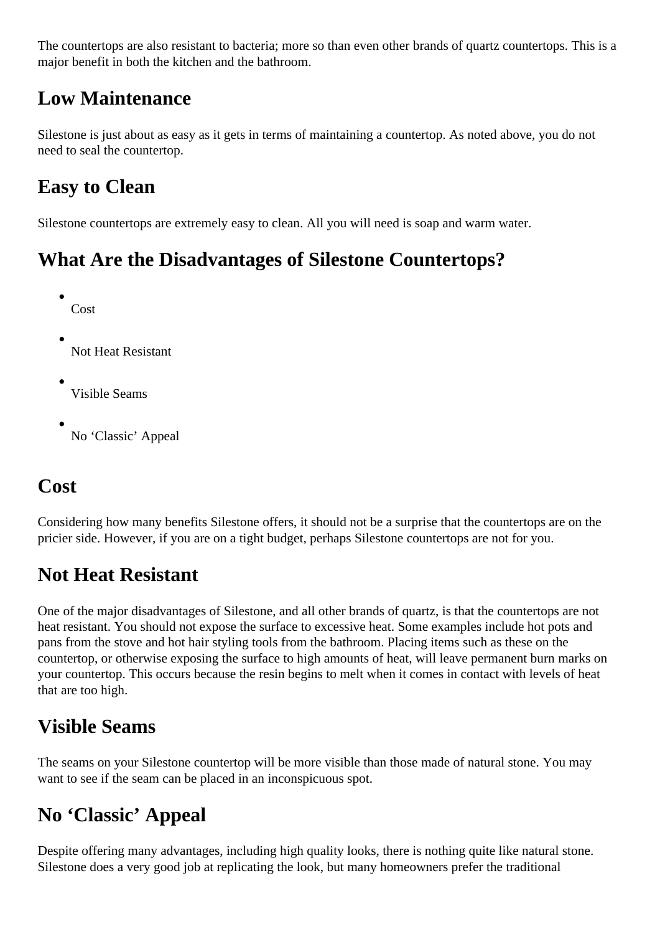The countertops are also resistant to bacteria; more so than even other brands of quartz countertops. This is a major benefit in both the kitchen and the bathroom.

#### **Low Maintenance**

Silestone is just about as easy as it gets in terms of maintaining a countertop. As noted above, you do not need to seal the countertop.

## **Easy to Clean**

Silestone countertops are extremely easy to clean. All you will need is soap and warm water.

## **What Are the Disadvantages of Silestone Countertops?**

- Cost
- Not Heat Resistant
- Visible Seams
- No 'Classic' Appeal

## **Cost**

Considering how many benefits Silestone offers, it should not be a surprise that the countertops are on the pricier side. However, if you are on a tight budget, perhaps Silestone countertops are not for you.

## **Not Heat Resistant**

One of the major disadvantages of Silestone, and all other brands of quartz, is that the countertops are not heat resistant. You should not expose the surface to excessive heat. Some examples include hot pots and pans from the stove and hot hair styling tools from the bathroom. Placing items such as these on the countertop, or otherwise exposing the surface to high amounts of heat, will leave permanent burn marks on your countertop. This occurs because the resin begins to melt when it comes in contact with levels of heat that are too high.

## **Visible Seams**

The seams on your Silestone countertop will be more visible than those made of natural stone. You may want to see if the seam can be placed in an inconspicuous spot.

## **No 'Classic' Appeal**

Despite offering many advantages, including high quality looks, there is nothing quite like natural stone. Silestone does a very good job at replicating the look, but many homeowners prefer the traditional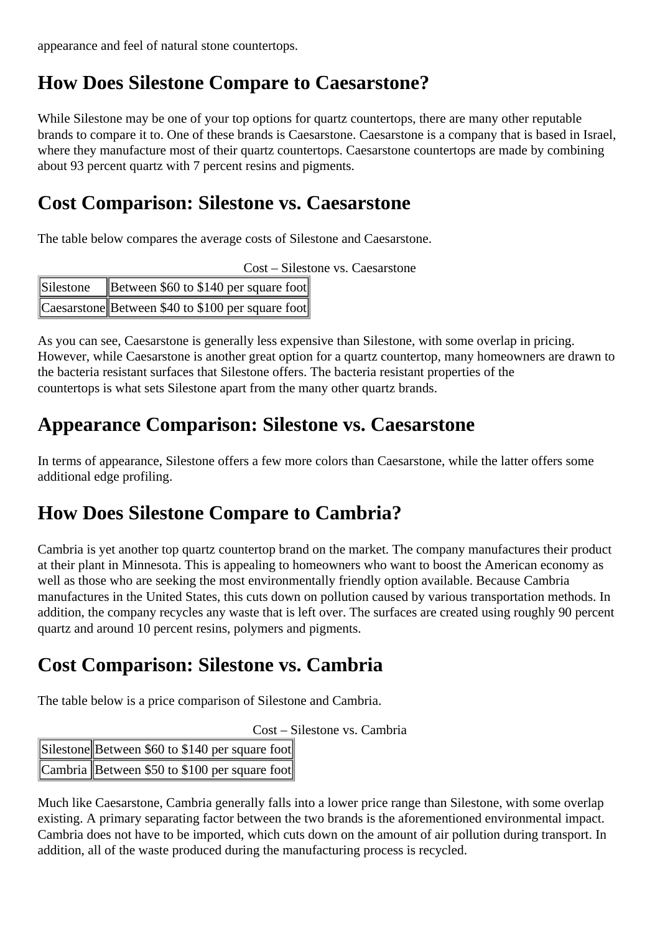appearance and feel of natural stone countertops.

#### **How Does Silestone Compare to Caesarstone?**

While Silestone may be one of your top options for quartz countertops, there are many other reputable brands to compare it to. One of these brands is Caesarstone. Caesarstone is a company that is based in Israel, where they manufacture most of their quartz countertops. Caesarstone countertops are made by combining about 93 percent quartz with 7 percent resins and pigments.

#### **Cost Comparison: Silestone vs. Caesarstone**

The table below compares the average costs of Silestone and Caesarstone.

| Cost – Silestone vs. Caesarstone |  |  |
|----------------------------------|--|--|
|                                  |  |  |

| Silestone | Between $$60$ to \$140 per square foot            |
|-----------|---------------------------------------------------|
|           | Caesarstone Between \$40 to \$100 per square foot |

As you can see, Caesarstone is generally less expensive than Silestone, with some overlap in pricing. However, while Caesarstone is another great option for a quartz countertop, many homeowners are drawn to the bacteria resistant surfaces that Silestone offers. The bacteria resistant properties of the countertops is what sets Silestone apart from the many other quartz brands.

#### **Appearance Comparison: Silestone vs. Caesarstone**

In terms of appearance, Silestone offers a few more colors than Caesarstone, while the latter offers some additional edge profiling.

#### **How Does Silestone Compare to Cambria?**

Cambria is yet another top quartz countertop brand on the market. The company manufactures their product at their plant in Minnesota. This is appealing to homeowners who want to boost the American economy as well as those who are seeking the most environmentally friendly option available. Because Cambria manufactures in the United States, this cuts down on pollution caused by various transportation methods. In addition, the company recycles any waste that is left over. The surfaces are created using roughly 90 percent quartz and around 10 percent resins, polymers and pigments.

#### **Cost Comparison: Silestone vs. Cambria**

The table below is a price comparison of Silestone and Cambria.

Cost – Silestone vs. Cambria

| Silestone Between \$60 to \$140 per square foot |
|-------------------------------------------------|
| Cambria Between \$50 to \$100 per square foot   |

Much like Caesarstone, Cambria generally falls into a lower price range than Silestone, with some overlap existing. A primary separating factor between the two brands is the aforementioned environmental impact. Cambria does not have to be imported, which cuts down on the amount of air pollution during transport. In addition, all of the waste produced during the manufacturing process is recycled.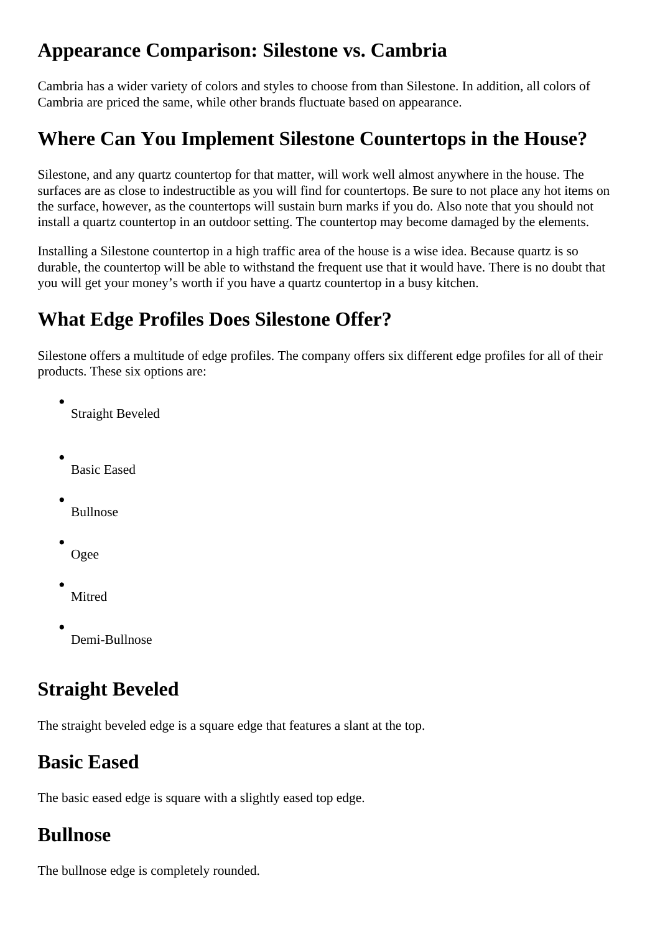#### **Appearance Comparison: Silestone vs. Cambria**

Cambria has a wider variety of colors and styles to choose from than Silestone. In addition, all colors of Cambria are priced the same, while other brands fluctuate based on appearance.

## **Where Can You Implement Silestone Countertops in the House?**

Silestone, and any quartz countertop for that matter, will work well almost anywhere in the house. The surfaces are as close to indestructible as you will find for countertops. Be sure to not place any hot items on the surface, however, as the countertops will sustain burn marks if you do. Also note that you should not install a quartz countertop in an outdoor setting. The countertop may become damaged by the elements.

Installing a Silestone countertop in a high traffic area of the house is a wise idea. Because quartz is so durable, the countertop will be able to withstand the frequent use that it would have. There is no doubt that you will get your money's worth if you have a quartz countertop in a busy kitchen.

#### **What Edge Profiles Does Silestone Offer?**

Silestone offers a multitude of edge profiles. The company offers six different edge profiles for all of their products. These six options are:

Straight Beveled

Basic Eased

Bullnose

- Ogee
- Mitred
- Demi-Bullnose

## **Straight Beveled**

The straight beveled edge is a square edge that features a slant at the top.

## **Basic Eased**

The basic eased edge is square with a slightly eased top edge.

#### **Bullnose**

The bullnose edge is completely rounded.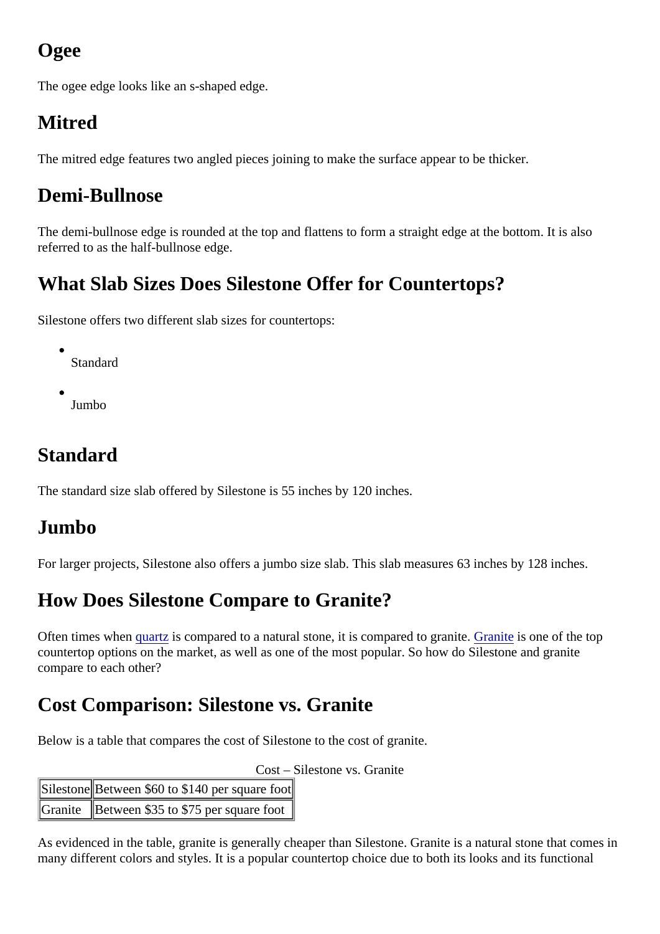# Ogee

The ogee edge looks like an s-shaped edge.

# Mitred

The mitred edge features two angled pieces joining to make the surface appear to be thicker.

## Demi-Bullnose

The demi-bullnose edge is rounded at the top and flattens to form a straight edge at the bottom. It is also referred to as the half-bullnose edge.

## What Slab Sizes Does Silestone Offer for Countertops?

Silestone offers two different slab sizes for countertops:

- Standard
- Jumbo

## **Standard**

The standard size slab offered by Silestone is 55 inches by 120 inches.

#### Jumbo

For larger projects, Silestone also offers a jumbo size slab. This slab measures 63 inches by 128 inches.

## How Does Silestone Compare to Granite?

Often times whe[n quartz](https://marble.com/quartz-countertops) is compared to a natural stone, it is compared to granite it is one of the top countertop options on the market, as well as one of the most popular. So how do Silestone and granite compare to each other?

## Cost Comparison: Silestone vs. Granite

Below is a table that compares the cost of Silestone to the cost of granite.

Cost – Silestone vs. Granite

| Sileston Between \$60 to \$140 per square toot |
|------------------------------------------------|
| Granite Between \$35 to \$75 per square foot   |

As evidenced in the table, granite is generally cheaper than Silestone. Granite is a natural stone that come many different colors and styles. It is a popular countertop choice due to both its looks and its functional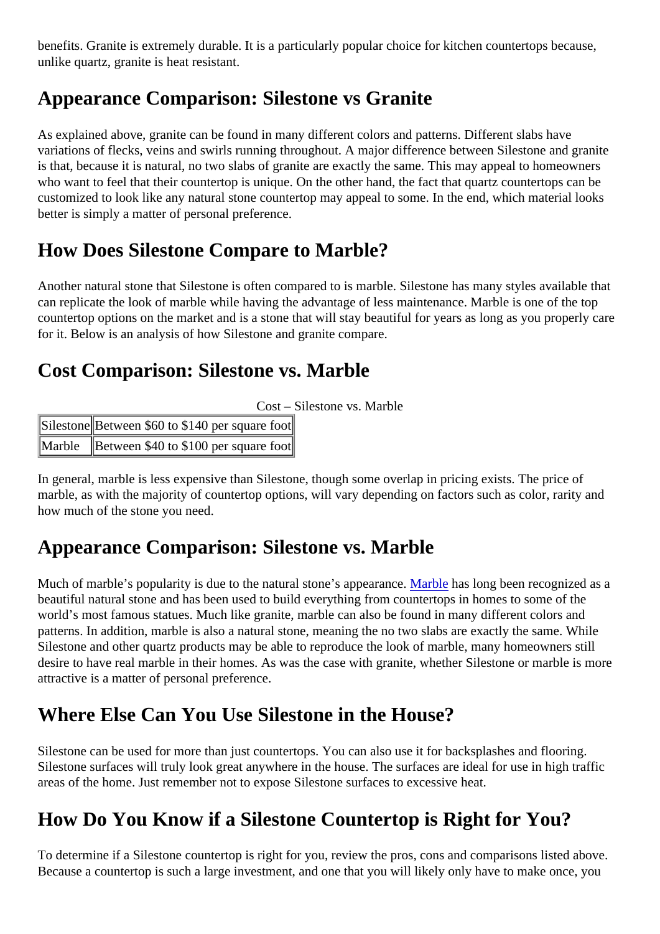<span id="page-8-0"></span>benefits. Granite is extremely durable. It is a particularly popular choice for kitchen countertops because, unlike quartz, granite is heat resistant.

## Appearance Comparison: Silestone vs Granite

As explained above, granite can be found in many different colors and patterns. Different slabs have variations of flecks, veins and swirls running throughout. A major difference between Silestone and granite is that, because it is natural, no two slabs of granite are exactly the same. This may appeal to homeowner who want to feel that their countertop is unique. On the other hand, the fact that quartz countertops can be customized to look like any natural stone countertop may appeal to some. In the end, which material looks better is simply a matter of personal preference.

#### How Does Silestone Compare to Marble?

Another natural stone that Silestone is often compared to is marble. Silestone has many styles available that can replicate the look of marble while having the advantage of less maintenance. Marble is one of the top countertop options on the market and is a stone that will stay beautiful for years as long as you properly ca for it. Below is an analysis of how Silestone and granite compare.

#### Cost Comparison: Silestone vs. Marble

| Sileston Between \$60 to \$140 per square foot |  |
|------------------------------------------------|--|
| Marble Between \$40 to \$100 per square toot   |  |

In general, marble is less expensive than Silestone, though some overlap in pricing exists. The price of marble, as with the majority of countertop options, will vary depending on factors such as color, rarity and how much of the stone you need.

#### Appearance Comparison: Silestone vs. Marble

Much of marble's popularity is due to the natural stone's appearlal axable has long been recognized as a beautiful natural stone and has been used to build everything from countertops in homes to some of the world's most famous statues. Much like granite, marble can also be found in many different colors and patterns. In addition, marble is also a natural stone, meaning the no two slabs are exactly the same. While Silestone and other quartz products may be able to reproduce the look of marble, many homeowners still desire to have real marble in their homes. As was the case with granite, whether Silestone or marble is more attractive is a matter of personal preference.

## Where Else Can You Use Silestone in the House?

Silestone can be used for more than just countertops. You can also use it for backsplashes and flooring. Silestone surfaces will truly look great anywhere in the house. The surfaces are ideal for use in high traffic areas of the home. Just remember not to expose Silestone surfaces to excessive heat.

#### How Do You Know if a Silestone Countertop is Right for You?

To determine if a Silestone countertop is right for you, review the pros, cons and comparisons listed above. Because a countertop is such a large investment, and one that you will likely only have to make once, you